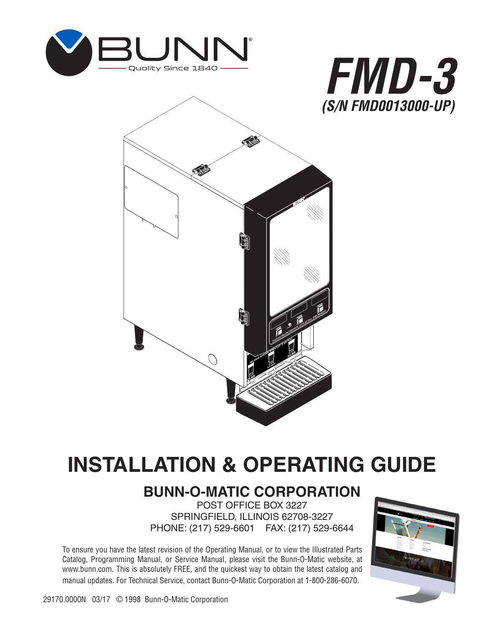





# **INSTALLATION & OPERATING GUIDE**

# **BUNN-O-MATIC CORPORATION**

POST OFFICE BOX 3227 SPRINGFIELD, ILLINOIS 62708-3227 PHONE: (217) 529-6601 FAX: (217) 529-6644

To ensure you have the latest revision of the Operating Manual, or to view the Illustrated Parts Catalog, Programming Manual, or Service Manual, please visit the Bunn-O-Matic website, at www.bunn.com. This is absolutely FREE, and the quickest way to obtain the latest catalog and manual updates. For Technical Service, contact Bunn-O-Matic Corporation at 1-800-286-6070.

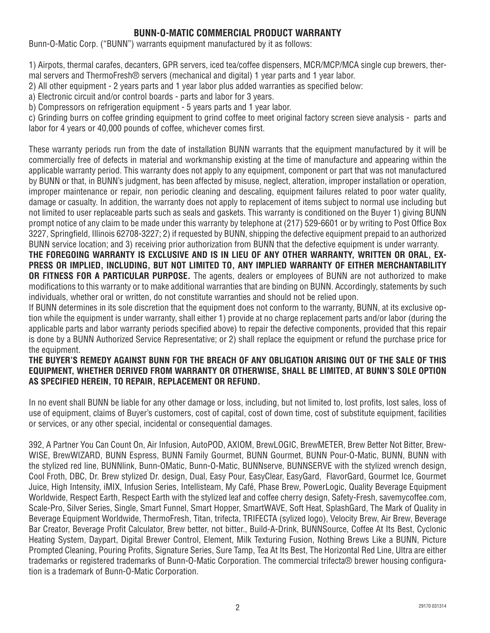#### **BUNN-O-MATIC COMMERCIAL PRODUCT WARRANTY**

Bunn-O-Matic Corp. ("BUNN") warrants equipment manufactured by it as follows:

1) Airpots, thermal carafes, decanters, GPR servers, iced tea/coffee dispensers, MCR/MCP/MCA single cup brewers, thermal servers and ThermoFresh® servers (mechanical and digital) 1 year parts and 1 year labor.

2) All other equipment - 2 years parts and 1 year labor plus added warranties as specified below:

a) Electronic circuit and/or control boards - parts and labor for 3 years.

b) Compressors on refrigeration equipment - 5 years parts and 1 year labor.

c) Grinding burrs on coffee grinding equipment to grind coffee to meet original factory screen sieve analysis - parts and labor for 4 years or 40,000 pounds of coffee, whichever comes first.

These warranty periods run from the date of installation BUNN warrants that the equipment manufactured by it will be commercially free of defects in material and workmanship existing at the time of manufacture and appearing within the applicable warranty period. This warranty does not apply to any equipment, component or part that was not manufactured by BUNN or that, in BUNN's judgment, has been affected by misuse, neglect, alteration, improper installation or operation, improper maintenance or repair, non periodic cleaning and descaling, equipment failures related to poor water quality, damage or casualty. In addition, the warranty does not apply to replacement of items subject to normal use including but not limited to user replaceable parts such as seals and gaskets. This warranty is conditioned on the Buyer 1) giving BUNN prompt notice of any claim to be made under this warranty by telephone at (217) 529-6601 or by writing to Post Office Box 3227, Springfield, Illinois 62708-3227; 2) if requested by BUNN, shipping the defective equipment prepaid to an authorized BUNN service location; and 3) receiving prior authorization from BUNN that the defective equipment is under warranty.

**THE FOREGOING WARRANTY IS EXCLUSIVE AND IS IN LIEU OF ANY OTHER WARRANTY, WRITTEN OR ORAL, EX-PRESS OR IMPLIED, INCLUDING, BUT NOT LIMITED TO, ANY IMPLIED WARRANTY OF EITHER MERCHANTABILITY OR FITNESS FOR A PARTICULAR PURPOSE.** The agents, dealers or employees of BUNN are not authorized to make modifications to this warranty or to make additional warranties that are binding on BUNN. Accordingly, statements by such individuals, whether oral or written, do not constitute warranties and should not be relied upon.

If BUNN determines in its sole discretion that the equipment does not conform to the warranty, BUNN, at its exclusive option while the equipment is under warranty, shall either 1) provide at no charge replacement parts and/or labor (during the applicable parts and labor warranty periods specified above) to repair the defective components, provided that this repair is done by a BUNN Authorized Service Representative; or 2) shall replace the equipment or refund the purchase price for the equipment.

#### **THE BUYER'S REMEDY AGAINST BUNN FOR THE BREACH OF ANY OBLIGATION ARISING OUT OF THE SALE OF THIS EQUIPMENT, WHETHER DERIVED FROM WARRANTY OR OTHERWISE, SHALL BE LIMITED, AT BUNN'S SOLE OPTION AS SPECIFIED HEREIN, TO REPAIR, REPLACEMENT OR REFUND.**

In no event shall BUNN be liable for any other damage or loss, including, but not limited to, lost profits, lost sales, loss of use of equipment, claims of Buyer's customers, cost of capital, cost of down time, cost of substitute equipment, facilities or services, or any other special, incidental or consequential damages.

392, A Partner You Can Count On, Air Infusion, AutoPOD, AXIOM, BrewLOGIC, BrewMETER, Brew Better Not Bitter, Brew-WISE, BrewWIZARD, BUNN Espress, BUNN Family Gourmet, BUNN Gourmet, BUNN Pour-O-Matic, BUNN, BUNN with the stylized red line, BUNNlink, Bunn-OMatic, Bunn-O-Matic, BUNNserve, BUNNSERVE with the stylized wrench design, Cool Froth, DBC, Dr. Brew stylized Dr. design, Dual, Easy Pour, EasyClear, EasyGard, FlavorGard, Gourmet Ice, Gourmet Juice, High Intensity, iMIX, Infusion Series, Intellisteam, My Café, Phase Brew, PowerLogic, Quality Beverage Equipment Worldwide, Respect Earth, Respect Earth with the stylized leaf and coffee cherry design, Safety-Fresh, savemycoffee.com, Scale-Pro, Silver Series, Single, Smart Funnel, Smart Hopper, SmartWAVE, Soft Heat, SplashGard, The Mark of Quality in Beverage Equipment Worldwide, ThermoFresh, Titan, trifecta, TRIFECTA (sylized logo), Velocity Brew, Air Brew, Beverage Bar Creator, Beverage Profit Calculator, Brew better, not bitter., Build-A-Drink, BUNNSource, Coffee At Its Best, Cyclonic Heating System, Daypart, Digital Brewer Control, Element, Milk Texturing Fusion, Nothing Brews Like a BUNN, Picture Prompted Cleaning, Pouring Profits, Signature Series, Sure Tamp, Tea At Its Best, The Horizontal Red Line, Ultra are either trademarks or registered trademarks of Bunn-O-Matic Corporation. The commercial trifecta® brewer housing configuration is a trademark of Bunn-O-Matic Corporation.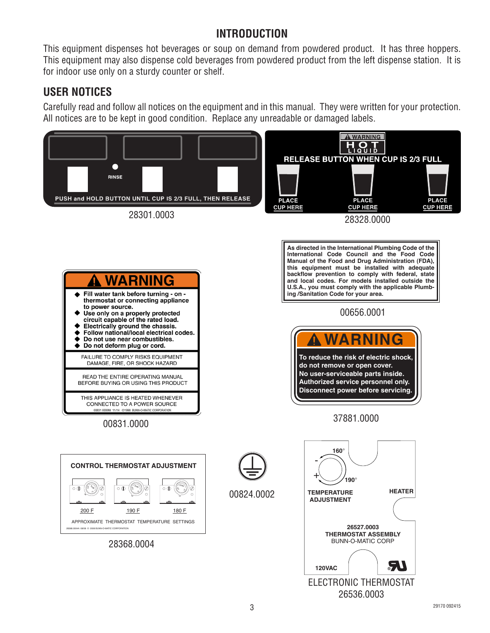#### **INTRODUCTION**

This equipment dispenses hot beverages or soup on demand from powdered product. It has three hoppers. This equipment may also dispense cold beverages from powdered product from the left dispense station. It is for indoor use only on a sturdy counter or shelf.

#### **USER NOTICES**

Carefully read and follow all notices on the equipment and in this manual. They were written for your protection. All notices are to be kept in good condition. Replace any unreadable or damaged labels.

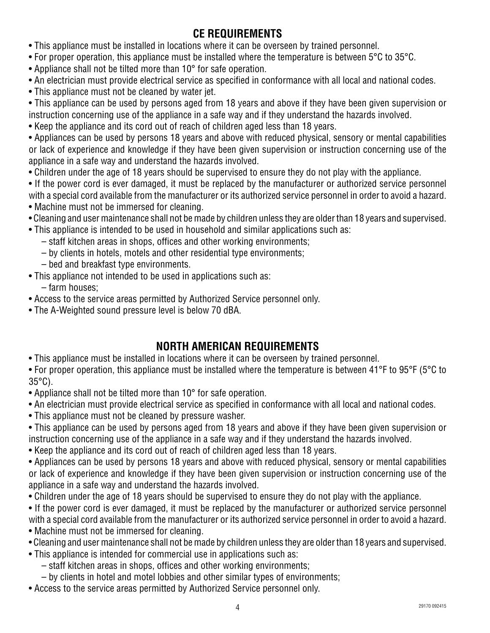# **CE REQUIREMENTS**

- This appliance must be installed in locations where it can be overseen by trained personnel.
- For proper operation, this appliance must be installed where the temperature is between 5°C to 35°C.
- Appliance shall not be tilted more than 10° for safe operation.
- An electrician must provide electrical service as specified in conformance with all local and national codes.
- This appliance must not be cleaned by water jet.

• This appliance can be used by persons aged from 18 years and above if they have been given supervision or instruction concerning use of the appliance in a safe way and if they understand the hazards involved.

• Keep the appliance and its cord out of reach of children aged less than 18 years.

• Appliances can be used by persons 18 years and above with reduced physical, sensory or mental capabilities or lack of experience and knowledge if they have been given supervision or instruction concerning use of the appliance in a safe way and understand the hazards involved.

- Children under the age of 18 years should be supervised to ensure they do not play with the appliance.
- If the power cord is ever damaged, it must be replaced by the manufacturer or authorized service personnel with a special cord available from the manufacturer or its authorized service personnel in order to avoid a hazard.
- Machine must not be immersed for cleaning.
- Cleaning and user maintenance shall not be made by children unless they are older than 18 years and supervised.
- This appliance is intended to be used in household and similar applications such as:
	- staff kitchen areas in shops, offices and other working environments;
	- by clients in hotels, motels and other residential type environments;
	- bed and breakfast type environments.
- This appliance not intended to be used in applications such as:

– farm houses;

- Access to the service areas permitted by Authorized Service personnel only.
- The A-Weighted sound pressure level is below 70 dBA.

# **NORTH AMERICAN REQUIREMENTS**

• This appliance must be installed in locations where it can be overseen by trained personnel.

• For proper operation, this appliance must be installed where the temperature is between 41°F to 95°F (5°C to 35°C).

- Appliance shall not be tilted more than 10° for safe operation.
- An electrician must provide electrical service as specified in conformance with all local and national codes.
- This appliance must not be cleaned by pressure washer.
- This appliance can be used by persons aged from 18 years and above if they have been given supervision or instruction concerning use of the appliance in a safe way and if they understand the hazards involved.
- Keep the appliance and its cord out of reach of children aged less than 18 years.

• Appliances can be used by persons 18 years and above with reduced physical, sensory or mental capabilities or lack of experience and knowledge if they have been given supervision or instruction concerning use of the appliance in a safe way and understand the hazards involved.

- Children under the age of 18 years should be supervised to ensure they do not play with the appliance.
- If the power cord is ever damaged, it must be replaced by the manufacturer or authorized service personnel with a special cord available from the manufacturer or its authorized service personnel in order to avoid a hazard.
- Machine must not be immersed for cleaning.
- Cleaning and user maintenance shall not be made by children unless they are older than 18 years and supervised.
- This appliance is intended for commercial use in applications such as:
	- staff kitchen areas in shops, offices and other working environments;
	- by clients in hotel and motel lobbies and other similar types of environments;
- Access to the service areas permitted by Authorized Service personnel only.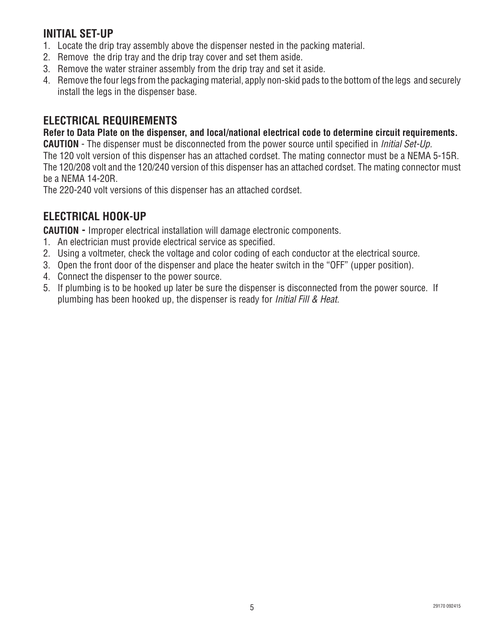#### **INITIAL SET-UP**

- 1. Locate the drip tray assembly above the dispenser nested in the packing material.
- 2. Remove the drip tray and the drip tray cover and set them aside.
- 3. Remove the water strainer assembly from the drip tray and set it aside.
- 4. Remove the four legs from the packaging material, apply non-skid pads to the bottom of the legs and securely install the legs in the dispenser base.

#### **ELECTRICAL REQUIREMENTS**

**Refer to Data Plate on the dispenser, and local/national electrical code to determine circuit requirements.**

**CAUTION** - The dispenser must be disconnected from the power source until specified in *Initial Set-Up.*

The 120 volt version of this dispenser has an attached cordset. The mating connector must be a NEMA 5-15R. The 120/208 volt and the 120/240 version of this dispenser has an attached cordset. The mating connector must be a NEMA 14-20R.

The 220-240 volt versions of this dispenser has an attached cordset.

#### **ELECTRICAL HOOK-UP**

**CAUTION -** Improper electrical installation will damage electronic components.

- 1. An electrician must provide electrical service as specified.
- 2. Using a voltmeter, check the voltage and color coding of each conductor at the electrical source.
- 3. Open the front door of the dispenser and place the heater switch in the "OFF" (upper position).
- 4. Connect the dispenser to the power source.
- 5. If plumbing is to be hooked up later be sure the dispenser is disconnected from the power source. If plumbing has been hooked up, the dispenser is ready for *Initial Fill & Heat.*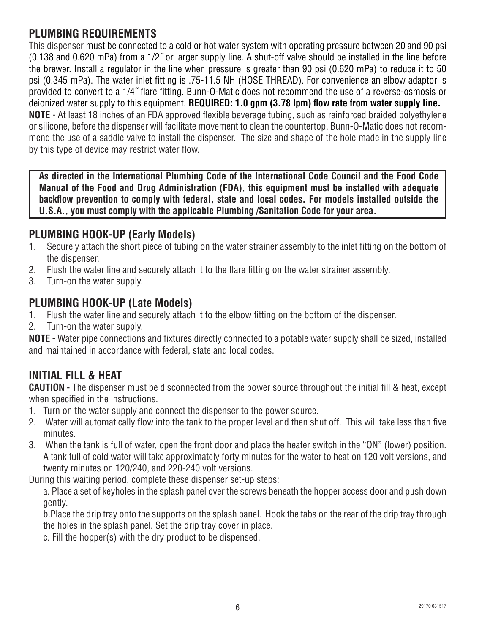#### **PLUMBING REQUIREMENTS**

This dispenser must be connected to a cold or hot water system with operating pressure between 20 and 90 psi (0.138 and 0.620 mPa) from a 1/2˝ or larger supply line. A shut-off valve should be installed in the line before the brewer. Install a regulator in the line when pressure is greater than 90 psi (0.620 mPa) to reduce it to 50 psi (0.345 mPa). The water inlet fitting is .75-11.5 NH (HOSE THREAD). For convenience an elbow adaptor is provided to convert to a 1/4˝ flare fitting. Bunn-O-Matic does not recommend the use of a reverse-osmosis or deionized water supply to this equipment. **REQUIRED: 1.0 gpm (3.78 lpm) flow rate from water supply line. NOTE** - At least 18 inches of an FDA approved flexible beverage tubing, such as reinforced braided polyethylene or silicone, before the dispenser will facilitate movement to clean the countertop. Bunn-O-Matic does not recommend the use of a saddle valve to install the dispenser. The size and shape of the hole made in the supply line by this type of device may restrict water flow.

**As directed in the International Plumbing Code of the International Code Council and the Food Code Manual of the Food and Drug Administration (FDA), this equipment must be installed with adequate backflow prevention to comply with federal, state and local codes. For models installed outside the U.S.A., you must comply with the applicable Plumbing /Sanitation Code for your area.**

#### **PLUMBING HOOK-UP (Early Models)**

- 1. Securely attach the short piece of tubing on the water strainer assembly to the inlet fitting on the bottom of the dispenser.
- 2. Flush the water line and securely attach it to the flare fitting on the water strainer assembly.
- 3. Turn-on the water supply.

#### **PLUMBING HOOK-UP (Late Models)**

- 1. Flush the water line and securely attach it to the elbow fitting on the bottom of the dispenser.
- 2. Turn-on the water supply.

**NOTE** - Water pipe connections and fixtures directly connected to a potable water supply shall be sized, installed and maintained in accordance with federal, state and local codes.

#### **INITIAL FILL & HEAT**

**CAUTION -** The dispenser must be disconnected from the power source throughout the initial fill & heat, except when specified in the instructions.

- 1. Turn on the water supply and connect the dispenser to the power source.
- 2. Water will automatically flow into the tank to the proper level and then shut off. This will take less than five minutes.
- 3. When the tank is full of water, open the front door and place the heater switch in the "ON" (lower) position. A tank full of cold water will take approximately forty minutes for the water to heat on 120 volt versions, and twenty minutes on 120/240, and 220-240 volt versions.

During this waiting period, complete these dispenser set-up steps:

a. Place a set of keyholes in the splash panel over the screws beneath the hopper access door and push down gently.

b.Place the drip tray onto the supports on the splash panel. Hook the tabs on the rear of the drip tray through the holes in the splash panel. Set the drip tray cover in place.

c. Fill the hopper(s) with the dry product to be dispensed.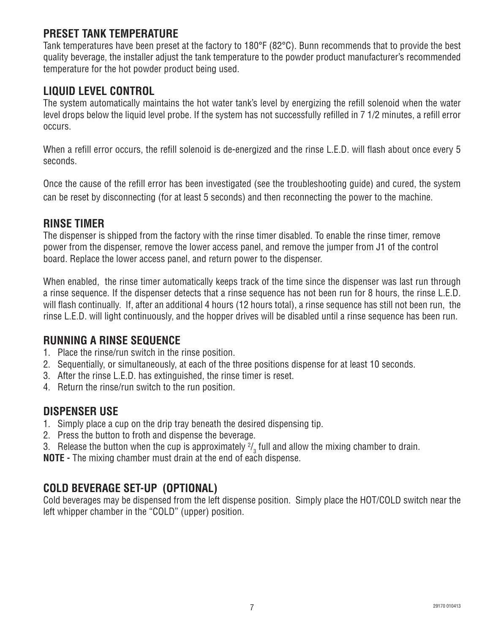#### **PRESET TANK TEMPERATURE**

Tank temperatures have been preset at the factory to 180°F (82°C). Bunn recommends that to provide the best quality beverage, the installer adjust the tank temperature to the powder product manufacturer's recommended temperature for the hot powder product being used.

#### **LIQUID LEVEL CONTROL**

The system automatically maintains the hot water tank's level by energizing the refill solenoid when the water level drops below the liquid level probe. If the system has not successfully refilled in 7 1/2 minutes, a refill error occurs.

When a refill error occurs, the refill solenoid is de-energized and the rinse L.E.D. will flash about once every 5 seconds.

Once the cause of the refill error has been investigated (see the troubleshooting guide) and cured, the system can be reset by disconnecting (for at least 5 seconds) and then reconnecting the power to the machine.

#### **RINSE TIMER**

The dispenser is shipped from the factory with the rinse timer disabled. To enable the rinse timer, remove power from the dispenser, remove the lower access panel, and remove the jumper from J1 of the control board. Replace the lower access panel, and return power to the dispenser.

When enabled, the rinse timer automatically keeps track of the time since the dispenser was last run through a rinse sequence. If the dispenser detects that a rinse sequence has not been run for 8 hours, the rinse L.E.D. will flash continually. If, after an additional 4 hours (12 hours total), a rinse sequence has still not been run, the rinse L.E.D. will light continuously, and the hopper drives will be disabled until a rinse sequence has been run.

#### **RUNNING A RINSE SEQUENCE**

- 1. Place the rinse/run switch in the rinse position.
- 2. Sequentially, or simultaneously, at each of the three positions dispense for at least 10 seconds.
- 3. After the rinse L.E.D. has extinguished, the rinse timer is reset.
- 4. Return the rinse/run switch to the run position.

#### **DISPENSER USE**

- 1. Simply place a cup on the drip tray beneath the desired dispensing tip.
- 2. Press the button to froth and dispense the beverage.
- 3. Release the button when the cup is approximately  $\frac{2}{3}$  full and allow the mixing chamber to drain.

**NOTE -** The mixing chamber must drain at the end of each dispense.

#### **COLD BEVERAGE SET-UP (OPTIONAL)**

Cold beverages may be dispensed from the left dispense position. Simply place the HOT/COLD switch near the left whipper chamber in the "COLD" (upper) position.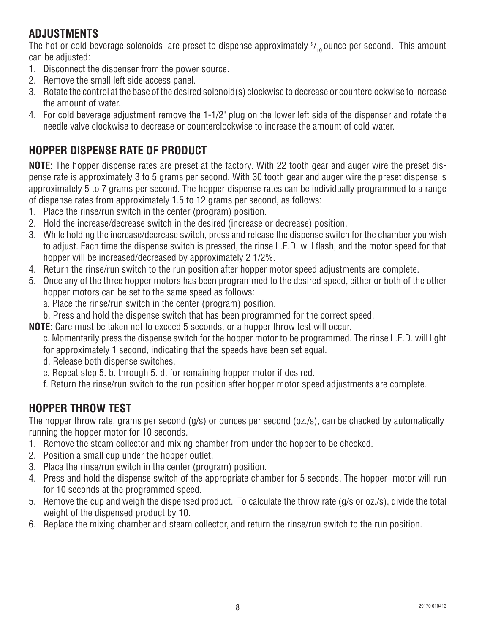# **ADJUSTMENTS**

The hot or cold beverage solenoids are preset to dispense approximately  $\frac{97}{10}$ ounce per second. This amount can be adjusted:

- 1. Disconnect the dispenser from the power source.
- 2. Remove the small left side access panel.
- 3. Rotate the control at the base of the desired solenoid(s) clockwise to decrease or counterclockwise to increase the amount of water.
- 4. For cold beverage adjustment remove the 1-1/2" plug on the lower left side of the dispenser and rotate the needle valve clockwise to decrease or counterclockwise to increase the amount of cold water.

# **HOPPER DISPENSE RATE OF PRODUCT**

**NOTE:** The hopper dispense rates are preset at the factory. With 22 tooth gear and auger wire the preset dispense rate is approximately 3 to 5 grams per second. With 30 tooth gear and auger wire the preset dispense is approximately 5 to 7 grams per second. The hopper dispense rates can be individually programmed to a range of dispense rates from approximately 1.5 to 12 grams per second, as follows:

- 1. Place the rinse/run switch in the center (program) position.
- 2. Hold the increase/decrease switch in the desired (increase or decrease) position.
- 3. While holding the increase/decrease switch, press and release the dispense switch for the chamber you wish to adjust. Each time the dispense switch is pressed, the rinse L.E.D. will flash, and the motor speed for that hopper will be increased/decreased by approximately 2 1/2%.
- 4. Return the rinse/run switch to the run position after hopper motor speed adjustments are complete.
- 5. Once any of the three hopper motors has been programmed to the desired speed, either or both of the other hopper motors can be set to the same speed as follows:
	- a. Place the rinse/run switch in the center (program) position.
	- b. Press and hold the dispense switch that has been programmed for the correct speed.
- **NOTE:** Care must be taken not to exceed 5 seconds, or a hopper throw test will occur.
	- c. Momentarily press the dispense switch for the hopper motor to be programmed. The rinse L.E.D. will light for approximately 1 second, indicating that the speeds have been set equal.
	- d. Release both dispense switches.
	- e. Repeat step 5. b. through 5. d. for remaining hopper motor if desired.
	- f. Return the rinse/run switch to the run position after hopper motor speed adjustments are complete.

#### **HOPPER THROW TEST**

The hopper throw rate, grams per second (g/s) or ounces per second (oz./s), can be checked by automatically running the hopper motor for 10 seconds.

- 1. Remove the steam collector and mixing chamber from under the hopper to be checked.
- 2. Position a small cup under the hopper outlet.
- 3. Place the rinse/run switch in the center (program) position.
- 4. Press and hold the dispense switch of the appropriate chamber for 5 seconds. The hopper motor will run for 10 seconds at the programmed speed.
- 5. Remove the cup and weigh the dispensed product. To calculate the throw rate (g/s or oz./s), divide the total weight of the dispensed product by 10.
- 6. Replace the mixing chamber and steam collector, and return the rinse/run switch to the run position.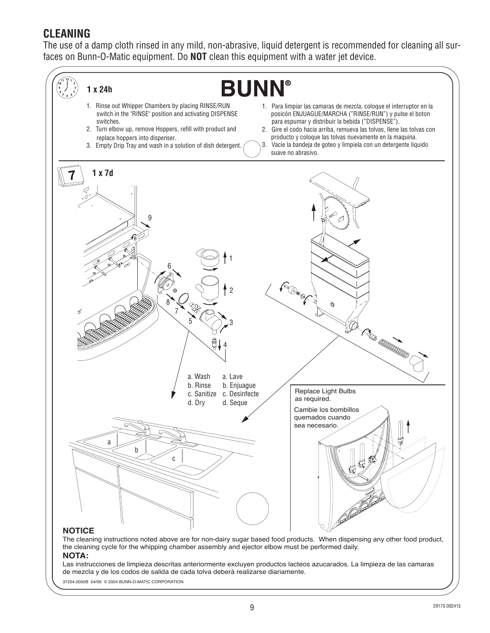#### **CLEANING**

The use of a damp cloth rinsed in any mild, non-abrasive, liquid detergent is recommended for cleaning all surfaces on Bunn-O-Matic equipment. Do **NOT** clean this equipment with a water jet device.



The cleaning instructions noted above are for non-dairy sugar based food products. When dispensing any other food product, the cleaning cycle for the whipping chamber assembly and ejector elbow must be performed daily. **NOTA:**

#### Las instrucciones de limpieza descritas anteriormente excluyen productos lacteos azucarados. La limpieza de las camaras de mezcla y de los codos de salida de cada tolva deberá realizarse diariamente.

37254.0000B 04/09 © 2004 BUNN-O-MATIC CORPORATION